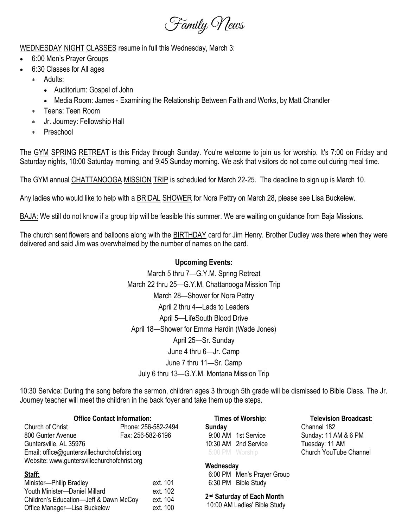

WEDNESDAY NIGHT CLASSES resume in full this Wednesday, March 3:

- 6:00 Men's Prayer Groups
- 6:30 Classes for All ages
	- Adults:
		- Auditorium: Gospel of John
		- Media Room: James Examining the Relationship Between Faith and Works, by Matt Chandler
	- Teens: Teen Room
	- Jr. Journey: Fellowship Hall
	- Preschool

The GYM SPRING RETREAT is this Friday through Sunday. You're welcome to join us for worship. It's 7:00 on Friday and Saturday nights, 10:00 Saturday morning, and 9:45 Sunday morning. We ask that visitors do not come out during meal time.

The GYM annual CHATTANOOGA MISSION TRIP is scheduled for March 22-25. The deadline to sign up is March 10.

Any ladies who would like to help with a BRIDAL SHOWER for Nora Pettry on March 28, please see Lisa Buckelew.

BAJA: We still do not know if a group trip will be feasible this summer. We are waiting on guidance from Baja Missions.

The church sent flowers and balloons along with the BIRTHDAY card for Jim Henry. Brother Dudley was there when they were delivered and said Jim was overwhelmed by the number of names on the card.

#### **Upcoming Events:**

March 5 thru 7—G.Y.M. Spring Retreat March 22 thru 25—G.Y.M. Chattanooga Mission Trip March 28—Shower for Nora Pettry April 2 thru 4—Lads to Leaders April 5—LifeSouth Blood Drive April 18—Shower for Emma Hardin (Wade Jones) April 25—Sr. Sunday June 4 thru 6—Jr. Camp June 7 thru 11—Sr. Camp July 6 thru 13—G.Y.M. Montana Mission Trip

10:30 Service: During the song before the sermon, children ages 3 through 5th grade will be dismissed to Bible Class. The Jr. Journey teacher will meet the children in the back foyer and take them up the steps.

| <b>Office Contact Information:</b>           |                     |
|----------------------------------------------|---------------------|
| Church of Christ                             | Phone: 256-582-2494 |
| 800 Gunter Avenue                            | Fax: 256-582-6196   |
| Guntersville, AL 35976                       |                     |
| Email: office@guntersvillechurchofchrist.org |                     |
|                                              |                     |

Website: www.guntersvillechurchofchrist.org

### **Staff:**

| Minister-Philip Bradley                | ext. 101 |
|----------------------------------------|----------|
| Youth Minister-Daniel Millard          | ext. 102 |
| Children's Education-Jeff & Dawn McCoy | ext. 104 |
| Office Manager—Lisa Buckelew           | ext. 100 |

**Times of Worship: Television Broadcast: Sunday** Channel 182 10:30 AM 2nd Service Tuesday: 11 AM

9:00 AM 1st Service Sunday: 11 AM & 6 PM 5:00 PM Worship Church YouTube Channel

### **Wednesday**

 6:00 PM Men's Prayer Group 6:30 PM Bible Study

**2 nd Saturday of Each Month** 10:00 AM Ladies' Bible Study